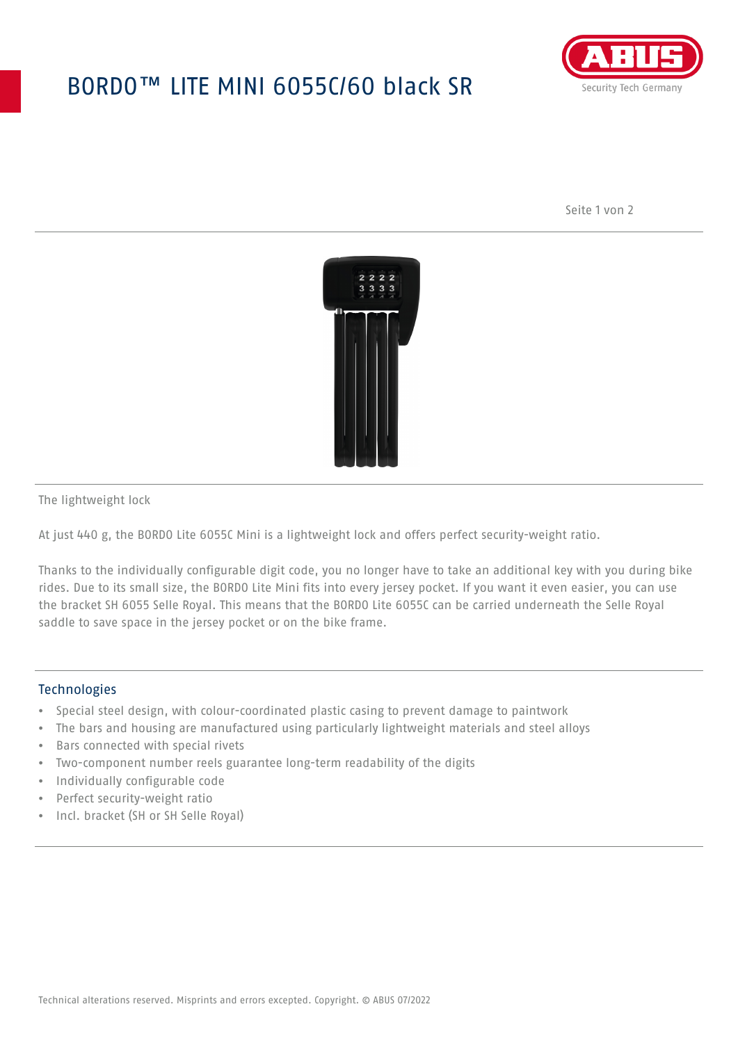## BORDO™ LITE MINI 6055C/60 black SR



Seite 1 von 2



The lightweight lock

At just 440 g, the BORDO Lite 6055C Mini is a lightweight lock and offers perfect security-weight ratio.

Thanks to the individually configurable digit code, you no longer have to take an additional key with you during bike rides. Due to its small size, the BORDO Lite Mini fits into every jersey pocket. If you want it even easier, you can use the bracket SH 6055 Selle Royal. This means that the BORDO Lite 6055C can be carried underneath the Selle Royal saddle to save space in the jersey pocket or on the bike frame.

## **Technologies**

- Special steel design, with colour-coordinated plastic casing to prevent damage to paintwork
- The bars and housing are manufactured using particularly lightweight materials and steel alloys
- Bars connected with special rivets
- Two-component number reels guarantee long-term readability of the digits
- Individually configurable code
- Perfect security-weight ratio
- Incl. bracket (SH or SH Selle Royal)